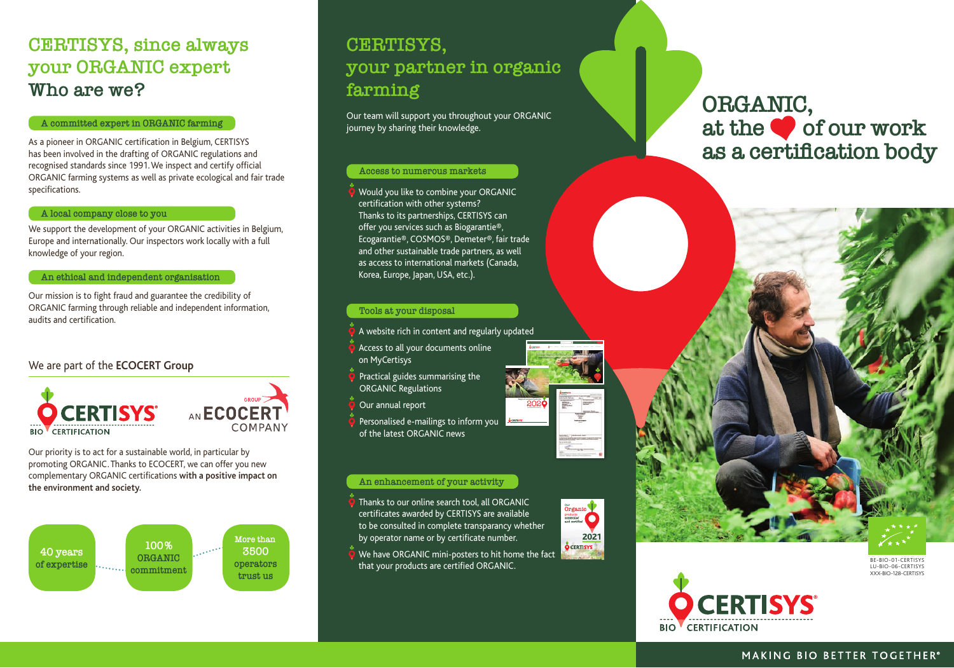## **CERTISYS, since always your ORGANIC expert Who are we?**

#### **A committed expert in ORGANIC farming**

As a pioneer in ORGANIC certification in Belgium, CERTISYS has been involved in the drafting of ORGANIC regulations and recognised standards since 1991. We inspect and certify official ORGANIC farming systems as well as private ecological and fair trade specifications.

#### **A local company close to you**

We support the development of your ORGANIC activities in Belgium, Europe and internationally. Our inspectors work locally with a full knowledge of your region.

#### **An ethical and independent organisation**

Our mission is to fight fraud and guarantee the credibility of ORGANIC farming through reliable and independent information, audits and certification.

#### We are part of the **ECOCERT Group**



AN **ECOCE** COMPANY

Our priority is to act for a sustainable world, in particular by promoting ORGANIC. Thanks to ECOCERT, we can offer you new complementary ORGANIC certifications **with a positive impact on the environment and society.**



# **CERTISYS, your partner in organic farming**

Our team will support you throughout your ORGANIC journey by sharing their knowledge.

#### **Access to numerous markets**

 $\bullet$  Would you like to combine your ORGANIC certification with other systems? Thanks to its partnerships, CERTISYS can offer you services such as Biogarantie®, Ecogarantie®, COSMOS®, Demeter®, fair trade and other sustainable trade partners, as well as access to international markets (Canada, Korea, Europe, Japan, USA, etc.).

#### **Tools at your disposal**

- A website rich in content and regularly updated
- Access to all your documents online on MyCertisys
- $\bullet$  Practical guides summarising the ORGANIC Regulations
- Our annual report
- Personalised e-mailings to inform you of the latest ORGANIC news

#### **An enhancement of your activity**

- Thanks to our online search tool, all ORGANIC certificates awarded by CERTISYS are available to be consulted in complete transparancy whether by operator name or by certificate number.
- We have ORGANIC mini-posters to hit home the fact that your products are certified ORGANIC.



Organic labels for a broad range of business sectors Do you wish to engage in the production or marketing of organic products? Are you looking for information specific to your business sector? There are a wide variety of business sectors. A farmer's reality on the ground is different from that of a processor, a point of sale, or even an importer or an operator who works in the hotel and food service industry. Given that each sector has its **own particularities** in terms of labelling, rules to follow and steps to take to get started in organic farming, we have identified specific business sectors, and provide you with **details in the information** 

**Rapport annuel d'activité** 202

For 40 years, our focus as an inspection and certification body has been on everything Organic

# **ORGANIC,**  at the **of our work as a certification body**





BE-BIO-01-CERTISYS LU-BIO-06-CERTISYS **XXX-BIO-128-CERTISYS**